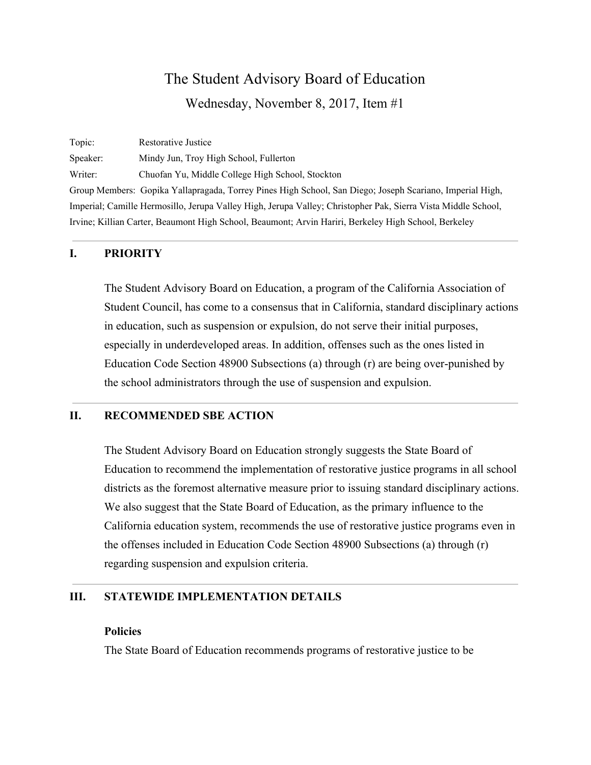Topic: Restorative Justice Speaker: Mindy Jun, Troy High School, Fullerton Writer: Chuofan Yu, Middle College High School, Stockton Group Members: Gopika Yallapragada, Torrey Pines High School, San Diego; Joseph Scariano, Imperial High, Imperial; Camille Hermosillo, Jerupa Valley High, Jerupa Valley; Christopher Pak, Sierra Vista Middle School, Irvine; Killian Carter, Beaumont High School, Beaumont; Arvin Hariri, Berkeley High School, Berkeley

#### **I. PRIORITY**

The Student Advisory Board on Education, a program of the California Association of Student Council, has come to a consensus that in California, standard disciplinary actions in education, such as suspension or expulsion, do not serve their initial purposes, especially in underdeveloped areas. In addition, offenses such as the ones listed in Education Code Section 48900 Subsections (a) through (r) are being over-punished by the school administrators through the use of suspension and expulsion.

#### **II. RECOMMENDED SBE ACTION**

The Student Advisory Board on Education strongly suggests the State Board of Education to recommend the implementation of restorative justice programs in all school districts as the foremost alternative measure prior to issuing standard disciplinary actions. We also suggest that the State Board of Education, as the primary influence to the California education system, recommends the use of restorative justice programs even in the offenses included in Education Code Section 48900 Subsections (a) through (r) regarding suspension and expulsion criteria.

## **III. STATEWIDE IMPLEMENTATION DETAILS**

#### **Policies**

The State Board of Education recommends programs of restorative justice to be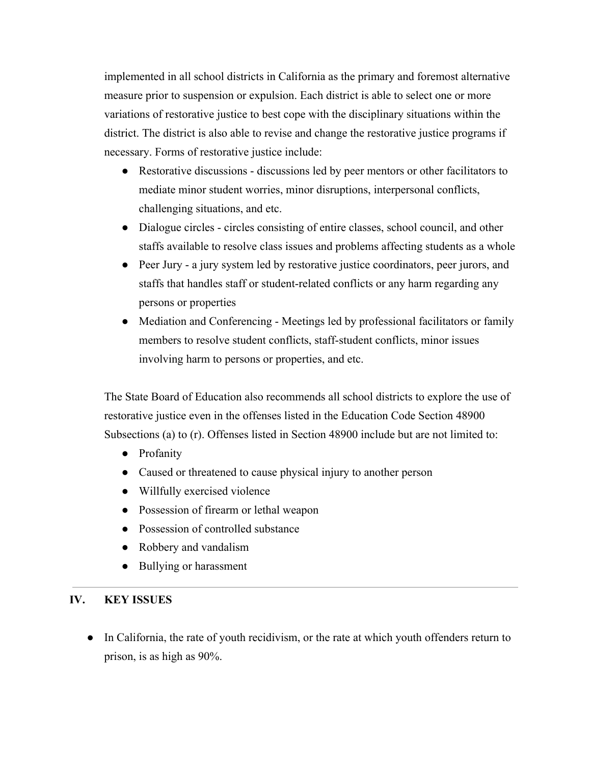implemented in all school districts in California as the primary and foremost alternative measure prior to suspension or expulsion. Each district is able to select one or more variations of restorative justice to best cope with the disciplinary situations within the district. The district is also able to revise and change the restorative justice programs if necessary. Forms of restorative justice include:

- Restorative discussions discussions led by peer mentors or other facilitators to mediate minor student worries, minor disruptions, interpersonal conflicts, challenging situations, and etc.
- Dialogue circles circles consisting of entire classes, school council, and other staffs available to resolve class issues and problems affecting students as a whole
- Peer Jury a jury system led by restorative justice coordinators, peer jurors, and staffs that handles staff or student-related conflicts or any harm regarding any persons or properties
- Mediation and Conferencing Meetings led by professional facilitators or family members to resolve student conflicts, staff-student conflicts, minor issues involving harm to persons or properties, and etc.

The State Board of Education also recommends all school districts to explore the use of restorative justice even in the offenses listed in the Education Code Section 48900 Subsections (a) to (r). Offenses listed in Section 48900 include but are not limited to:

- Profanity
- Caused or threatened to cause physical injury to another person
- Willfully exercised violence
- Possession of firearm or lethal weapon
- Possession of controlled substance
- Robbery and vandalism
- Bullying or harassment

# **IV. KEY ISSUES**

• In California, the rate of youth recidivism, or the rate at which youth offenders return to prison, is as high as 90%.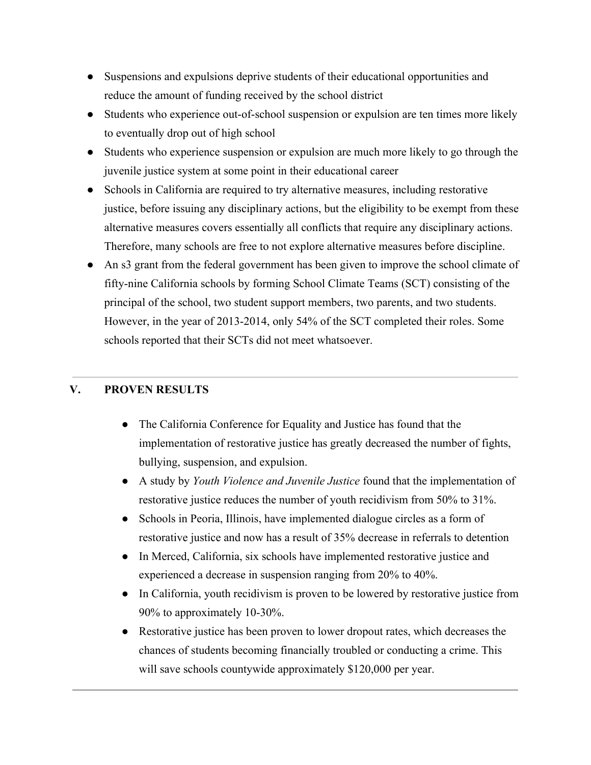- Suspensions and expulsions deprive students of their educational opportunities and reduce the amount of funding received by the school district
- Students who experience out-of-school suspension or expulsion are ten times more likely to eventually drop out of high school
- Students who experience suspension or expulsion are much more likely to go through the juvenile justice system at some point in their educational career
- Schools in California are required to try alternative measures, including restorative justice, before issuing any disciplinary actions, but the eligibility to be exempt from these alternative measures covers essentially all conflicts that require any disciplinary actions. Therefore, many schools are free to not explore alternative measures before discipline.
- An s3 grant from the federal government has been given to improve the school climate of fifty-nine California schools by forming School Climate Teams (SCT) consisting of the principal of the school, two student support members, two parents, and two students. However, in the year of 2013-2014, only 54% of the SCT completed their roles. Some schools reported that their SCTs did not meet whatsoever.

# **V. PROVEN RESULTS**

- The California Conference for Equality and Justice has found that the implementation of restorative justice has greatly decreased the number of fights, bullying, suspension, and expulsion.
- A study by *Youth Violence and Juvenile Justice* found that the implementation of restorative justice reduces the number of youth recidivism from 50% to 31%.
- Schools in Peoria, Illinois, have implemented dialogue circles as a form of restorative justice and now has a result of 35% decrease in referrals to detention
- In Merced, California, six schools have implemented restorative justice and experienced a decrease in suspension ranging from 20% to 40%.
- In California, youth recidivism is proven to be lowered by restorative justice from 90% to approximately 10-30%.
- Restorative justice has been proven to lower dropout rates, which decreases the chances of students becoming financially troubled or conducting a crime. This will save schools countywide approximately \$120,000 per year.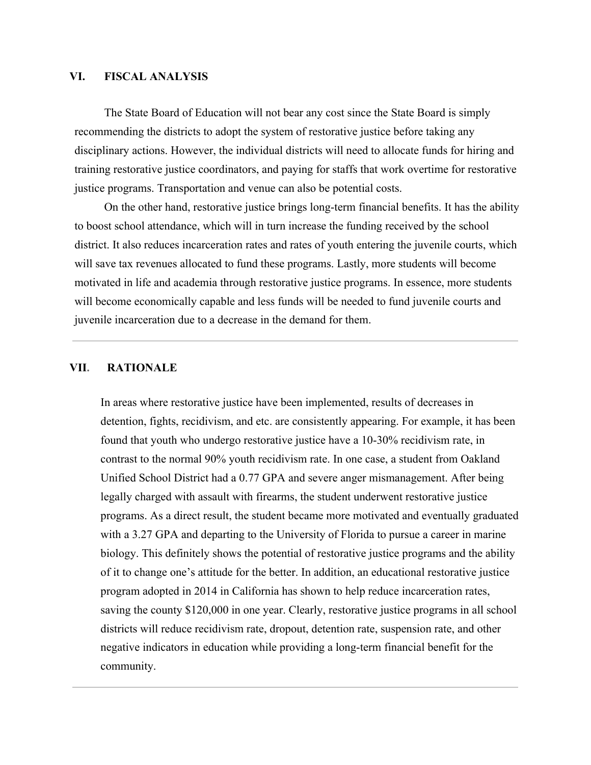#### **VI. FISCAL ANALYSIS**

The State Board of Education will not bear any cost since the State Board is simply recommending the districts to adopt the system of restorative justice before taking any disciplinary actions. However, the individual districts will need to allocate funds for hiring and training restorative justice coordinators, and paying for staffs that work overtime for restorative justice programs. Transportation and venue can also be potential costs.

On the other hand, restorative justice brings long-term financial benefits. It has the ability to boost school attendance, which will in turn increase the funding received by the school district. It also reduces incarceration rates and rates of youth entering the juvenile courts, which will save tax revenues allocated to fund these programs. Lastly, more students will become motivated in life and academia through restorative justice programs. In essence, more students will become economically capable and less funds will be needed to fund juvenile courts and juvenile incarceration due to a decrease in the demand for them.

#### **VII. RATIONALE**

In areas where restorative justice have been implemented, results of decreases in detention, fights, recidivism, and etc. are consistently appearing. For example, it has been found that youth who undergo restorative justice have a 10-30% recidivism rate, in contrast to the normal 90% youth recidivism rate. In one case, a student from Oakland Unified School District had a 0.77 GPA and severe anger mismanagement. After being legally charged with assault with firearms, the student underwent restorative justice programs. As a direct result, the student became more motivated and eventually graduated with a 3.27 GPA and departing to the University of Florida to pursue a career in marine biology. This definitely shows the potential of restorative justice programs and the ability of it to change one's attitude for the better. In addition, an educational restorative justice program adopted in 2014 in California has shown to help reduce incarceration rates, saving the county \$120,000 in one year. Clearly, restorative justice programs in all school districts will reduce recidivism rate, dropout, detention rate, suspension rate, and other negative indicators in education while providing a long-term financial benefit for the community.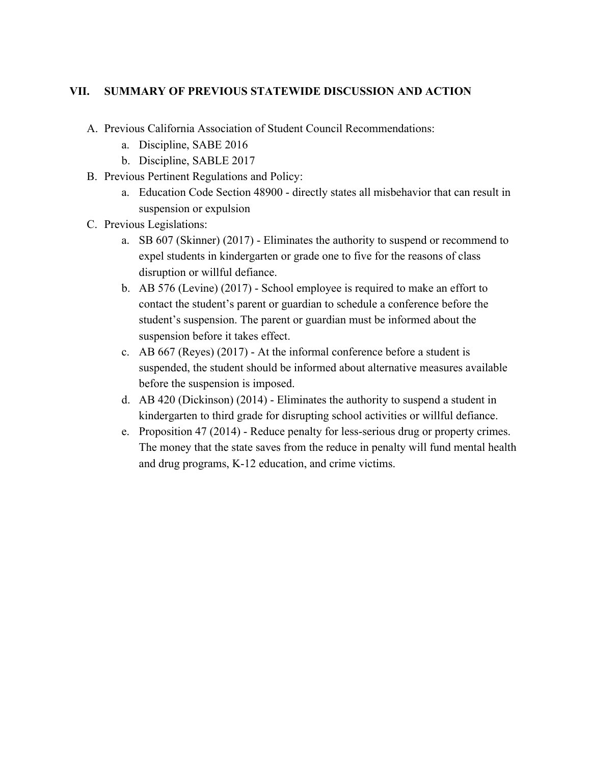# **VII. SUMMARY OF PREVIOUS STATEWIDE DISCUSSION AND ACTION**

- A. Previous California Association of Student Council Recommendations:
	- a. Discipline, SABE 2016
	- b. Discipline, SABLE 2017
- B. Previous Pertinent Regulations and Policy:
	- a. Education Code Section 48900 directly states all misbehavior that can result in suspension or expulsion
- C. Previous Legislations:
	- a. SB 607 (Skinner) (2017) Eliminates the authority to suspend or recommend to expel students in kindergarten or grade one to five for the reasons of class disruption or willful defiance.
	- b. AB 576 (Levine) (2017) School employee is required to make an effort to contact the student's parent or guardian to schedule a conference before the student's suspension. The parent or guardian must be informed about the suspension before it takes effect.
	- c. AB 667 (Reyes) (2017) At the informal conference before a student is suspended, the student should be informed about alternative measures available before the suspension is imposed.
	- d. AB 420 (Dickinson) (2014) Eliminates the authority to suspend a student in kindergarten to third grade for disrupting school activities or willful defiance.
	- e. Proposition 47 (2014) Reduce penalty for less-serious drug or property crimes. The money that the state saves from the reduce in penalty will fund mental health and drug programs, K-12 education, and crime victims.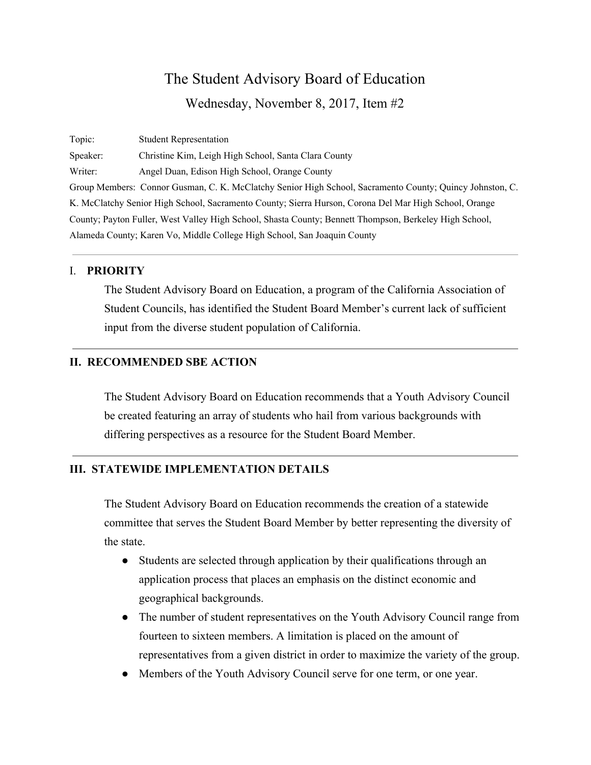Topic: Student Representation Speaker: Christine Kim, Leigh High School, Santa Clara County Writer: Angel Duan, Edison High School, Orange County Group Members: Connor Gusman, C. K. McClatchy Senior High School, Sacramento County; Quincy Johnston, C. K. McClatchy Senior High School, Sacramento County; Sierra Hurson, Corona Del Mar High School, Orange County; Payton Fuller, West Valley High School, Shasta County; Bennett Thompson, Berkeley High School, Alameda County; Karen Vo, Middle College High School, San Joaquin County

#### I. **PRIORITY**

The Student Advisory Board on Education, a program of the California Association of Student Councils, has identified the Student Board Member's current lack of sufficient input from the diverse student population of California.

# **II. RECOMMENDED SBE ACTION**

The Student Advisory Board on Education recommends that a Youth Advisory Council be created featuring an array of students who hail from various backgrounds with differing perspectives as a resource for the Student Board Member.

#### **III. STATEWIDE IMPLEMENTATION DETAILS**

The Student Advisory Board on Education recommends the creation of a statewide committee that serves the Student Board Member by better representing the diversity of the state.

- Students are selected through application by their qualifications through an application process that places an emphasis on the distinct economic and geographical backgrounds.
- The number of student representatives on the Youth Advisory Council range from fourteen to sixteen members. A limitation is placed on the amount of representatives from a given district in order to maximize the variety of the group.
- Members of the Youth Advisory Council serve for one term, or one year.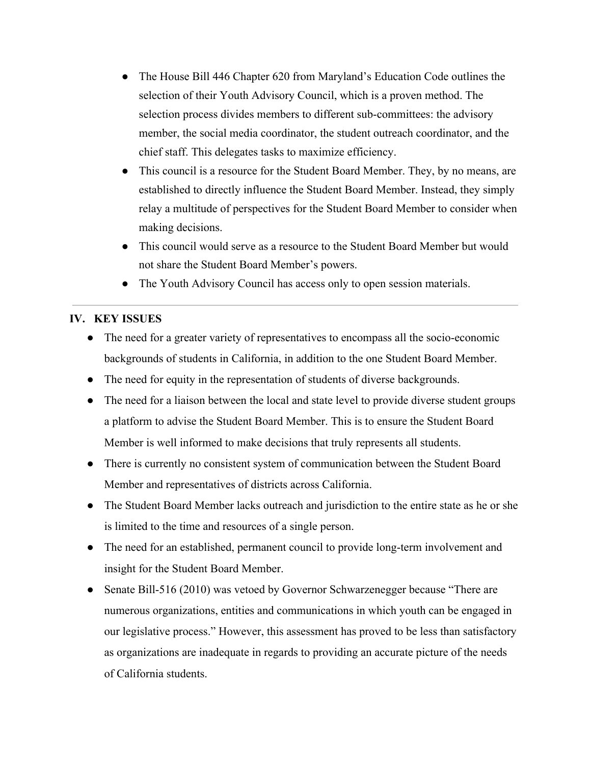- The House Bill 446 Chapter 620 from Maryland's Education Code outlines the selection of their Youth Advisory Council, which is a proven method. The selection process divides members to different sub-committees: the advisory member, the social media coordinator, the student outreach coordinator, and the chief staff. This delegates tasks to maximize efficiency.
- This council is a resource for the Student Board Member. They, by no means, are established to directly influence the Student Board Member. Instead, they simply relay a multitude of perspectives for the Student Board Member to consider when making decisions.
- This council would serve as a resource to the Student Board Member but would not share the Student Board Member's powers.
- The Youth Advisory Council has access only to open session materials.

# **IV. KEY ISSUES**

- The need for a greater variety of representatives to encompass all the socio-economic backgrounds of students in California, in addition to the one Student Board Member.
- The need for equity in the representation of students of diverse backgrounds.
- The need for a liaison between the local and state level to provide diverse student groups a platform to advise the Student Board Member. This is to ensure the Student Board Member is well informed to make decisions that truly represents all students.
- There is currently no consistent system of communication between the Student Board Member and representatives of districts across California.
- The Student Board Member lacks outreach and jurisdiction to the entire state as he or she is limited to the time and resources of a single person.
- The need for an established, permanent council to provide long-term involvement and insight for the Student Board Member.
- Senate Bill-516 (2010) was vetoed by Governor Schwarzenegger because "There are numerous organizations, entities and communications in which youth can be engaged in our legislative process." However, this assessment has proved to be less than satisfactory as organizations are inadequate in regards to providing an accurate picture of the needs of California students.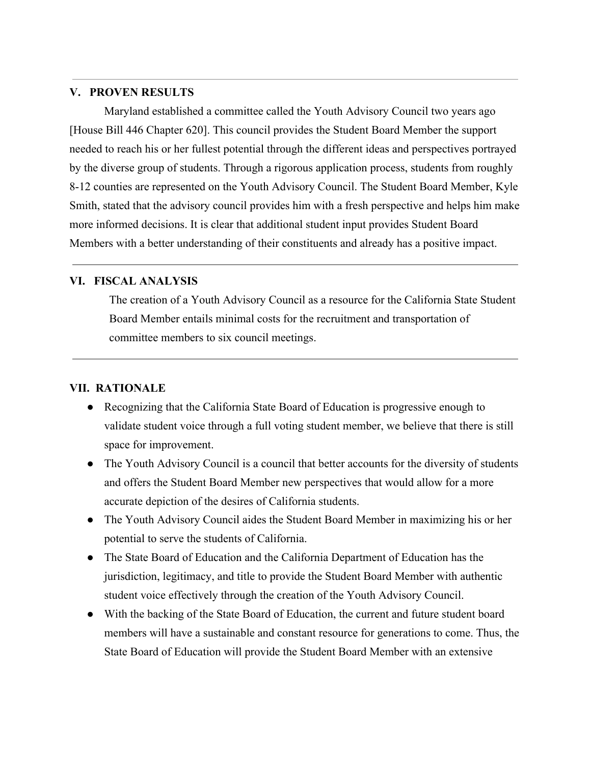#### **V. PROVEN RESULTS**

Maryland established a committee called the Youth Advisory Council two years ago [House Bill 446 Chapter 620]. This council provides the Student Board Member the support needed to reach his or her fullest potential through the different ideas and perspectives portrayed by the diverse group of students. Through a rigorous application process, students from roughly 8-12 counties are represented on the Youth Advisory Council. The Student Board Member, Kyle Smith, stated that the advisory council provides him with a fresh perspective and helps him make more informed decisions. It is clear that additional student input provides Student Board Members with a better understanding of their constituents and already has a positive impact.

#### **VI. FISCAL ANALYSIS**

The creation of a Youth Advisory Council as a resource for the California State Student Board Member entails minimal costs for the recruitment and transportation of committee members to six council meetings.

# **VII. RATIONALE**

- Recognizing that the California State Board of Education is progressive enough to validate student voice through a full voting student member, we believe that there is still space for improvement.
- The Youth Advisory Council is a council that better accounts for the diversity of students and offers the Student Board Member new perspectives that would allow for a more accurate depiction of the desires of California students.
- The Youth Advisory Council aides the Student Board Member in maximizing his or her potential to serve the students of California.
- The State Board of Education and the California Department of Education has the jurisdiction, legitimacy, and title to provide the Student Board Member with authentic student voice effectively through the creation of the Youth Advisory Council.
- With the backing of the State Board of Education, the current and future student board members will have a sustainable and constant resource for generations to come. Thus, the State Board of Education will provide the Student Board Member with an extensive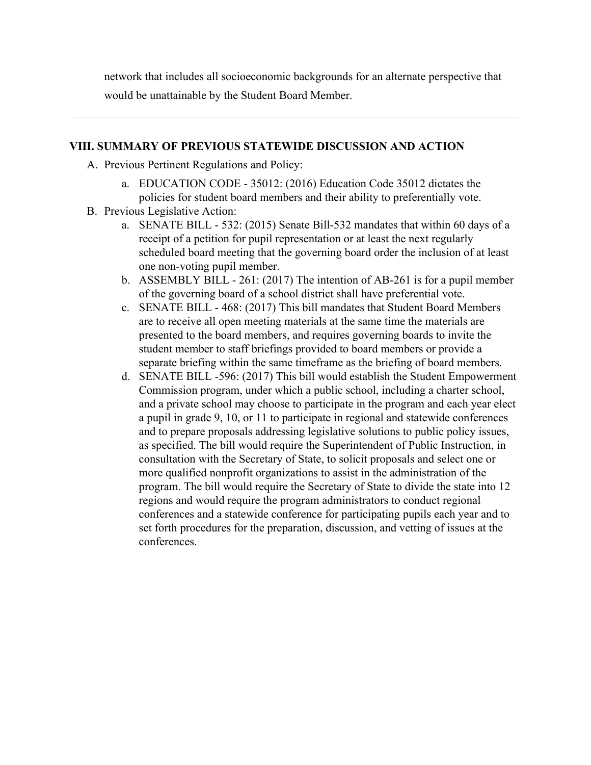network that includes all socioeconomic backgrounds for an alternate perspective that would be unattainable by the Student Board Member.

## **VIII. SUMMARY OF PREVIOUS STATEWIDE DISCUSSION AND ACTION**

- A. Previous Pertinent Regulations and Policy:
	- a. EDUCATION CODE 35012: (2016) Education Code 35012 dictates the policies for student board members and their ability to preferentially vote.
- B. Previous Legislative Action:
	- a. SENATE BILL 532: (2015) Senate Bill-532 mandates that within 60 days of a receipt of a petition for pupil representation or at least the next regularly scheduled board meeting that the governing board order the inclusion of at least one non-voting pupil member.
	- b. ASSEMBLY BILL 261: (2017) The intention of AB-261 is for a pupil member of the governing board of a school district shall have preferential vote.
	- c. SENATE BILL 468: (2017) This bill mandates that Student Board Members are to receive all open meeting materials at the same time the materials are presented to the board members, and requires governing boards to invite the student member to staff briefings provided to board members or provide a separate briefing within the same timeframe as the briefing of board members.
	- d. SENATE BILL -596: (2017) This bill would establish the Student Empowerment Commission program, under which a public school, including a charter school, and a private school may choose to participate in the program and each year elect a pupil in grade 9, 10, or 11 to participate in regional and statewide conferences and to prepare proposals addressing legislative solutions to public policy issues, as specified. The bill would require the Superintendent of Public Instruction, in consultation with the Secretary of State, to solicit proposals and select one or more qualified nonprofit organizations to assist in the administration of the program. The bill would require the Secretary of State to divide the state into 12 regions and would require the program administrators to conduct regional conferences and a statewide conference for participating pupils each year and to set forth procedures for the preparation, discussion, and vetting of issues at the conferences.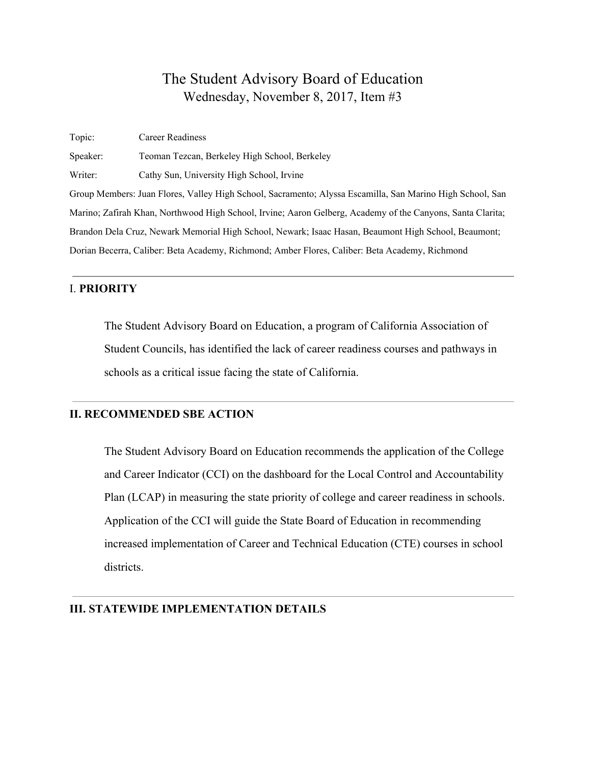Topic: Career Readiness Speaker: Teoman Tezcan, Berkeley High School, Berkeley Writer: Cathy Sun, University High School, Irvine Group Members: Juan Flores, Valley High School, Sacramento; Alyssa Escamilla, San Marino High School, San Marino; Zafirah Khan, Northwood High School, Irvine; Aaron Gelberg, Academy of the Canyons, Santa Clarita; Brandon Dela Cruz, Newark Memorial High School, Newark; Isaac Hasan, Beaumont High School, Beaumont; Dorian Becerra, Caliber: Beta Academy, Richmond; Amber Flores, Caliber: Beta Academy, Richmond

#### I. **PRIORITY**

The Student Advisory Board on Education, a program of California Association of Student Councils, has identified the lack of career readiness courses and pathways in schools as a critical issue facing the state of California.

#### **II. RECOMMENDED SBE ACTION**

The Student Advisory Board on Education recommends the application of the College and Career Indicator (CCI) on the dashboard for the Local Control and Accountability Plan (LCAP) in measuring the state priority of college and career readiness in schools. Application of the CCI will guide the State Board of Education in recommending increased implementation of Career and Technical Education (CTE) courses in school districts.

#### **III. STATEWIDE IMPLEMENTATION DETAILS**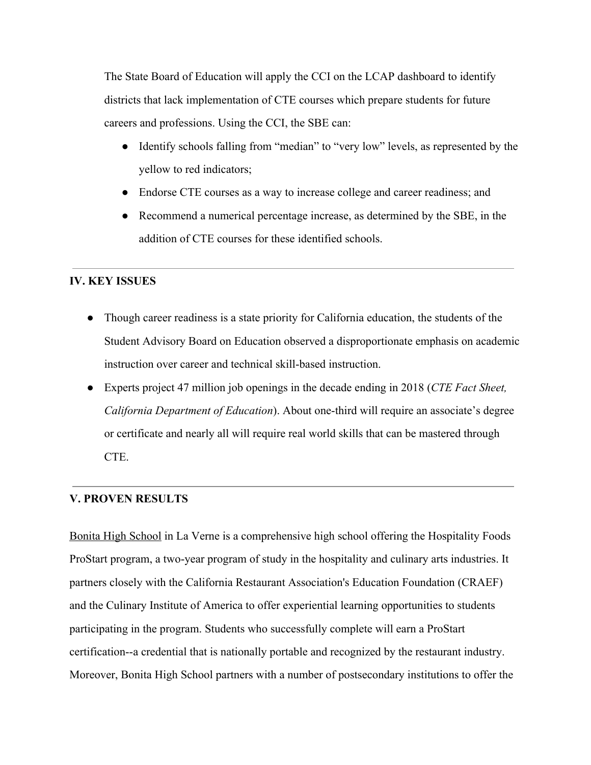The State Board of Education will apply the CCI on the LCAP dashboard to identify districts that lack implementation of CTE courses which prepare students for future careers and professions. Using the CCI, the SBE can:

- Identify schools falling from "median" to "very low" levels, as represented by the yellow to red indicators;
- Endorse CTE courses as a way to increase college and career readiness; and
- Recommend a numerical percentage increase, as determined by the SBE, in the addition of CTE courses for these identified schools.

# **IV. KEY ISSUES**

- Though career readiness is a state priority for California education, the students of the Student Advisory Board on Education observed a disproportionate emphasis on academic instruction over career and technical skill-based instruction.
- Experts project 47 million job openings in the decade ending in 2018 (*CTE Fact Sheet, California Department of Education*). About one-third will require an associate's degree or certificate and nearly all will require real world skills that can be mastered through CTE.

# **V. PROVEN RESULTS**

Bonita High [School](https://bonitahigh.net/) in La Verne is a comprehensive high school offering the Hospitality Foods ProStart program, a two-year program of study in the hospitality and culinary arts industries. It partners closely with the California Restaurant Association's Education Foundation (CRAEF) and the Culinary Institute of America to offer experiential learning opportunities to students participating in the program. Students who successfully complete will earn a ProStart certification--a credential that is nationally portable and recognized by the restaurant industry. Moreover, Bonita High School partners with a number of postsecondary institutions to offer the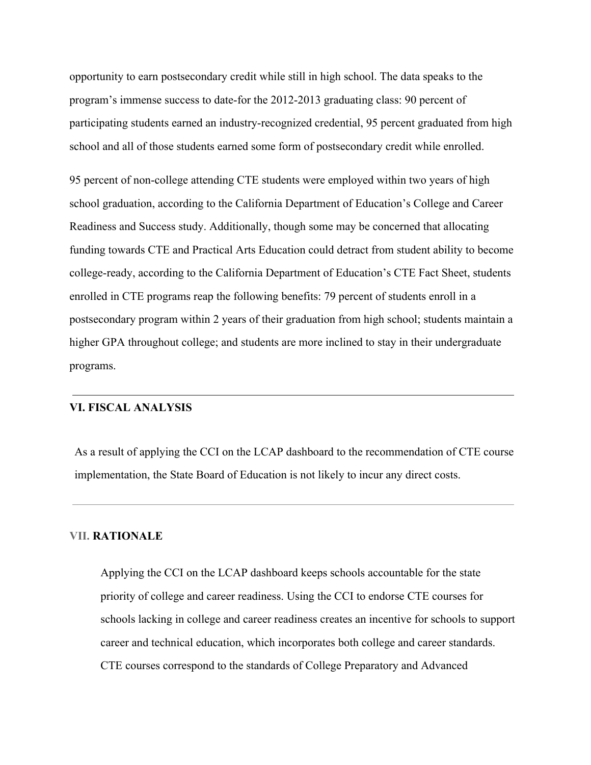opportunity to earn postsecondary credit while still in high school. The data speaks to the program's immense success to date-for the 2012-2013 graduating class: 90 percent of participating students earned an industry-recognized credential, 95 percent graduated from high school and all of those students earned some form of postsecondary credit while enrolled.

95 percent of non-college attending CTE students were employed within two years of high school graduation, according to the California Department of Education's College and Career Readiness and Success study. Additionally, though some may be concerned that allocating funding towards CTE and Practical Arts Education could detract from student ability to become college-ready, according to the California Department of Education's CTE Fact Sheet, students enrolled in CTE programs reap the following benefits: 79 percent of students enroll in a postsecondary program within 2 years of their graduation from high school; students maintain a higher GPA throughout college; and students are more inclined to stay in their undergraduate programs.

#### **VI. FISCAL ANALYSIS**

As a result of applying the CCI on the LCAP dashboard to the recommendation of CTE course implementation, the State Board of Education is not likely to incur any direct costs.

#### **VII. RATIONALE**

Applying the CCI on the LCAP dashboard keeps schools accountable for the state priority of college and career readiness. Using the CCI to endorse CTE courses for schools lacking in college and career readiness creates an incentive for schools to support career and technical education, which incorporates both college and career standards. CTE courses correspond to the standards of College Preparatory and Advanced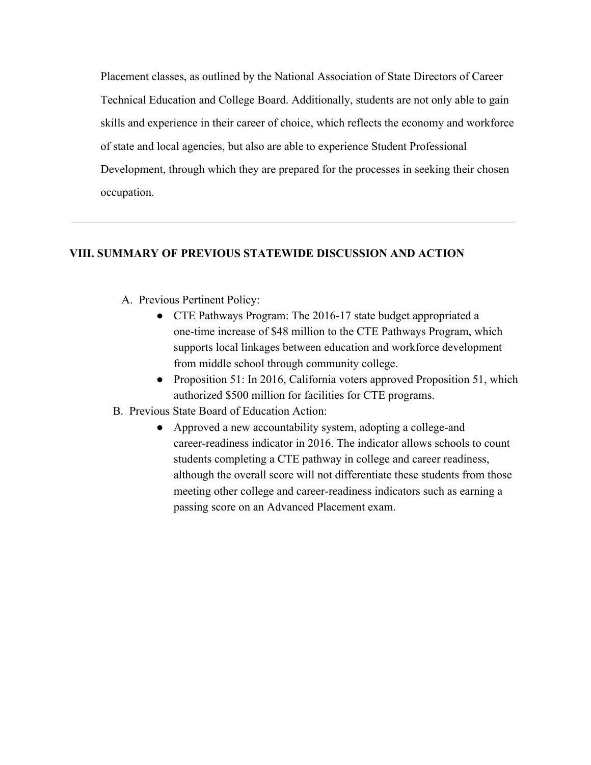Placement classes, as outlined by the National Association of State Directors of Career Technical Education and College Board. Additionally, students are not only able to gain skills and experience in their career of choice, which reflects the economy and workforce of state and local agencies, but also are able to experience Student Professional Development, through which they are prepared for the processes in seeking their chosen occupation.

### **VIII. SUMMARY OF PREVIOUS STATEWIDE DISCUSSION AND ACTION**

- A. Previous Pertinent Policy:
	- CTE Pathways Program: The 2016-17 state budget appropriated a one-time increase of \$48 million to the CTE Pathways Program, which supports local linkages between education and workforce development from middle school through community college.
	- Proposition 51: In 2016, California voters approved Proposition 51, which authorized \$500 million for facilities for CTE programs.
- B. Previous State Board of Education Action:
	- Approved a new accountability system, adopting a college-and career-readiness indicator in 2016. The indicator allows schools to count students completing a CTE pathway in college and career readiness, although the overall score will not differentiate these students from those meeting other college and career-readiness indicators such as earning a passing score on an Advanced Placement exam.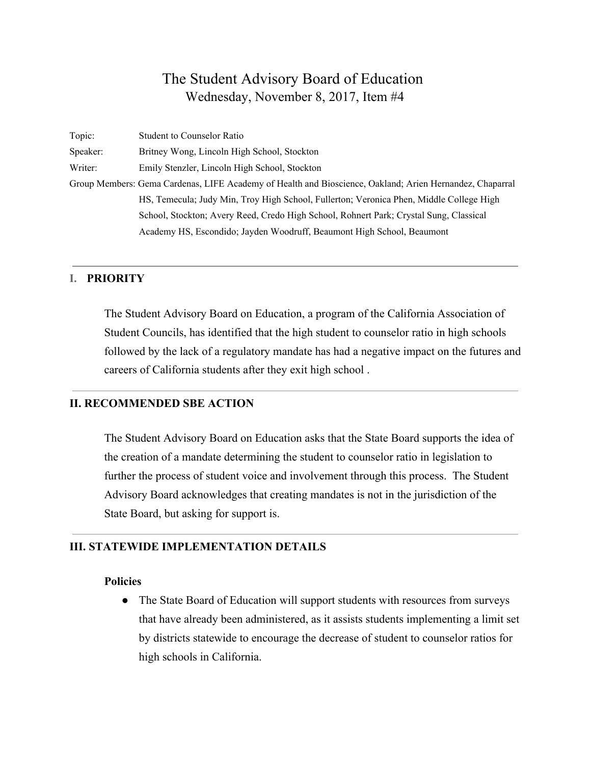| Topic:   | <b>Student to Counselor Ratio</b>                                                                        |
|----------|----------------------------------------------------------------------------------------------------------|
| Speaker: | Britney Wong, Lincoln High School, Stockton                                                              |
| Writer:  | Emily Stenzler, Lincoln High School, Stockton                                                            |
|          | Group Members: Gema Cardenas, LIFE Academy of Health and Bioscience, Oakland; Arien Hernandez, Chaparral |
|          | HS, Temecula; Judy Min, Troy High School, Fullerton; Veronica Phen, Middle College High                  |
|          | School, Stockton; Avery Reed, Credo High School, Rohnert Park; Crystal Sung, Classical                   |
|          | Academy HS, Escondido; Jayden Woodruff, Beaumont High School, Beaumont                                   |

#### **I. PRIORITY**

The Student Advisory Board on Education, a program of the California Association of Student Councils, has identified that the high student to counselor ratio in high schools followed by the lack of a regulatory mandate has had a negative impact on the futures and careers of California students after they exit high school .

## **II. RECOMMENDED SBE ACTION**

The Student Advisory Board on Education asks that the State Board supports the idea of the creation of a mandate determining the student to counselor ratio in legislation to further the process of student voice and involvement through this process. The Student Advisory Board acknowledges that creating mandates is not in the jurisdiction of the State Board, but asking for support is.

#### **III. STATEWIDE IMPLEMENTATION DETAILS**

#### **Policies**

● The State Board of Education will support students with resources from surveys that have already been administered, as it assists students implementing a limit set by districts statewide to encourage the decrease of student to counselor ratios for high schools in California.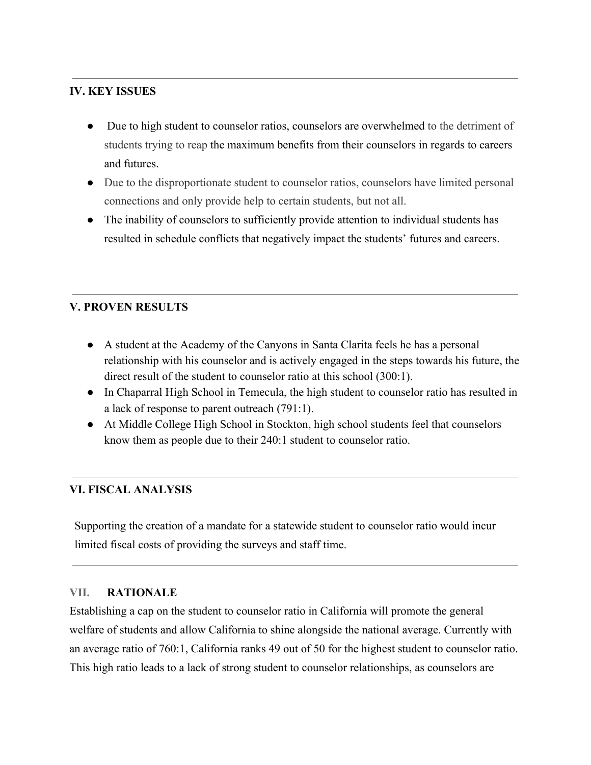# **IV. KEY ISSUES**

- Due to high student to counselor ratios, counselors are overwhelmed to the detriment of students trying to reap the maximum benefits from their counselors in regards to careers and futures.
- Due to the disproportionate student to counselor ratios, counselors have limited personal connections and only provide help to certain students, but not all.
- The inability of counselors to sufficiently provide attention to individual students has resulted in schedule conflicts that negatively impact the students' futures and careers.

# **V. PROVEN RESULTS**

- A student at the Academy of the Canyons in Santa Clarita feels he has a personal relationship with his counselor and is actively engaged in the steps towards his future, the direct result of the student to counselor ratio at this school (300:1).
- In Chaparral High School in Temecula, the high student to counselor ratio has resulted in a lack of response to parent outreach (791:1).
- At Middle College High School in Stockton, high school students feel that counselors know them as people due to their 240:1 student to counselor ratio.

# **VI. FISCAL ANALYSIS**

Supporting the creation of a mandate for a statewide student to counselor ratio would incur limited fiscal costs of providing the surveys and staff time.

#### **VII. RATIONALE**

Establishing a cap on the student to counselor ratio in California will promote the general welfare of students and allow California to shine alongside the national average. Currently with an average ratio of 760:1, California ranks 49 out of 50 for the highest student to counselor ratio. This high ratio leads to a lack of strong student to counselor relationships, as counselors are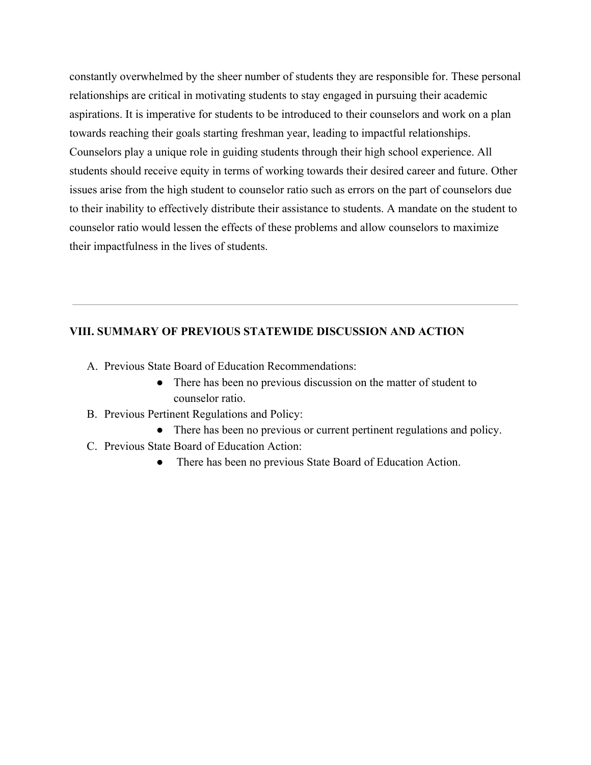constantly overwhelmed by the sheer number of students they are responsible for. These personal relationships are critical in motivating students to stay engaged in pursuing their academic aspirations. It is imperative for students to be introduced to their counselors and work on a plan towards reaching their goals starting freshman year, leading to impactful relationships. Counselors play a unique role in guiding students through their high school experience. All students should receive equity in terms of working towards their desired career and future. Other issues arise from the high student to counselor ratio such as errors on the part of counselors due to their inability to effectively distribute their assistance to students. A mandate on the student to counselor ratio would lessen the effects of these problems and allow counselors to maximize their impactfulness in the lives of students.

### **VIII. SUMMARY OF PREVIOUS STATEWIDE DISCUSSION AND ACTION**

- A. Previous State Board of Education Recommendations:
	- There has been no previous discussion on the matter of student to counselor ratio.
- B. Previous Pertinent Regulations and Policy:
	- There has been no previous or current pertinent regulations and policy.
- C. Previous State Board of Education Action:
	- There has been no previous State Board of Education Action.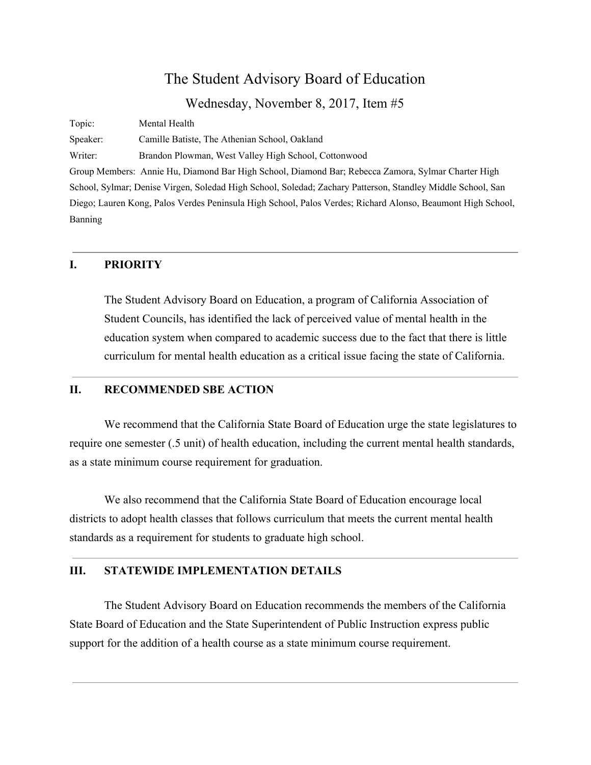# The Student Advisory Board of Education

Wednesday, November 8, 2017, Item #5

Topic: Mental Health Speaker: Camille Batiste, The Athenian School, Oakland Writer: Brandon Plowman, West Valley High School, Cottonwood Group Members: Annie Hu, Diamond Bar High School, Diamond Bar; Rebecca Zamora, Sylmar Charter High School, Sylmar; Denise Virgen, Soledad High School, Soledad; Zachary Patterson, Standley Middle School, San Diego; Lauren Kong, Palos Verdes Peninsula High School, Palos Verdes; Richard Alonso, Beaumont High School, Banning

#### **I. PRIORITY**

The Student Advisory Board on Education, a program of California Association of Student Councils, has identified the lack of perceived value of mental health in the education system when compared to academic success due to the fact that there is little curriculum for mental health education as a critical issue facing the state of California.

#### **II. RECOMMENDED SBE ACTION**

We recommend that the California State Board of Education urge the state legislatures to require one semester (.5 unit) of health education, including the current mental health standards, as a state minimum course requirement for graduation.

We also recommend that the California State Board of Education encourage local districts to adopt health classes that follows curriculum that meets the current mental health standards as a requirement for students to graduate high school.

#### **III. STATEWIDE IMPLEMENTATION DETAILS**

The Student Advisory Board on Education recommends the members of the California State Board of Education and the State Superintendent of Public Instruction express public support for the addition of a health course as a state minimum course requirement.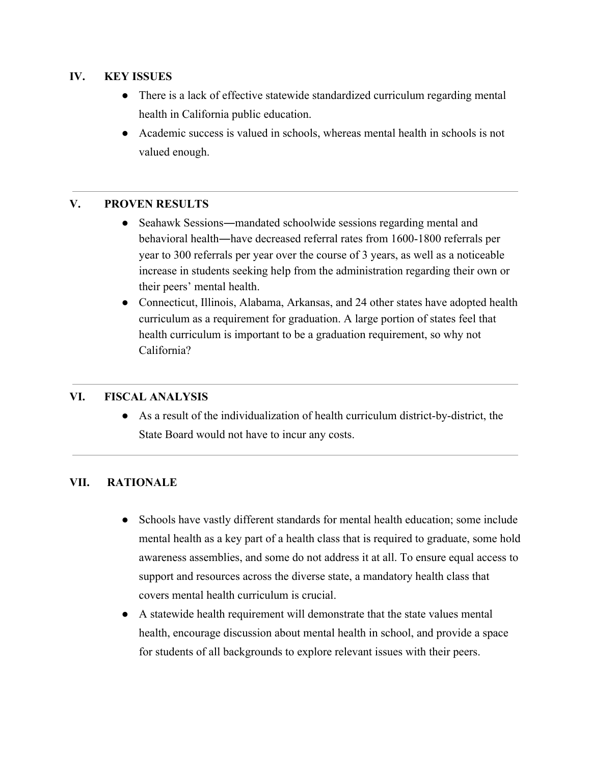# **IV. KEY ISSUES**

- There is a lack of effective statewide standardized curriculum regarding mental health in California public education.
- Academic success is valued in schools, whereas mental health in schools is not valued enough.

# **V. PROVEN RESULTS**

- Seahawk Sessions—mandated schoolwide sessions regarding mental and behavioral health―have decreased referral rates from 1600-1800 referrals per year to 300 referrals per year over the course of 3 years, as well as a noticeable increase in students seeking help from the administration regarding their own or their peers' mental health.
- Connecticut, Illinois, Alabama, Arkansas, and 24 other states have adopted health curriculum as a requirement for graduation. A large portion of states feel that health curriculum is important to be a graduation requirement, so why not California?

# **VI. FISCAL ANALYSIS**

● As a result of the individualization of health curriculum district-by-district, the State Board would not have to incur any costs.

# **VII. RATIONALE**

- Schools have vastly different standards for mental health education; some include mental health as a key part of a health class that is required to graduate, some hold awareness assemblies, and some do not address it at all. To ensure equal access to support and resources across the diverse state, a mandatory health class that covers mental health curriculum is crucial.
- A statewide health requirement will demonstrate that the state values mental health, encourage discussion about mental health in school, and provide a space for students of all backgrounds to explore relevant issues with their peers.